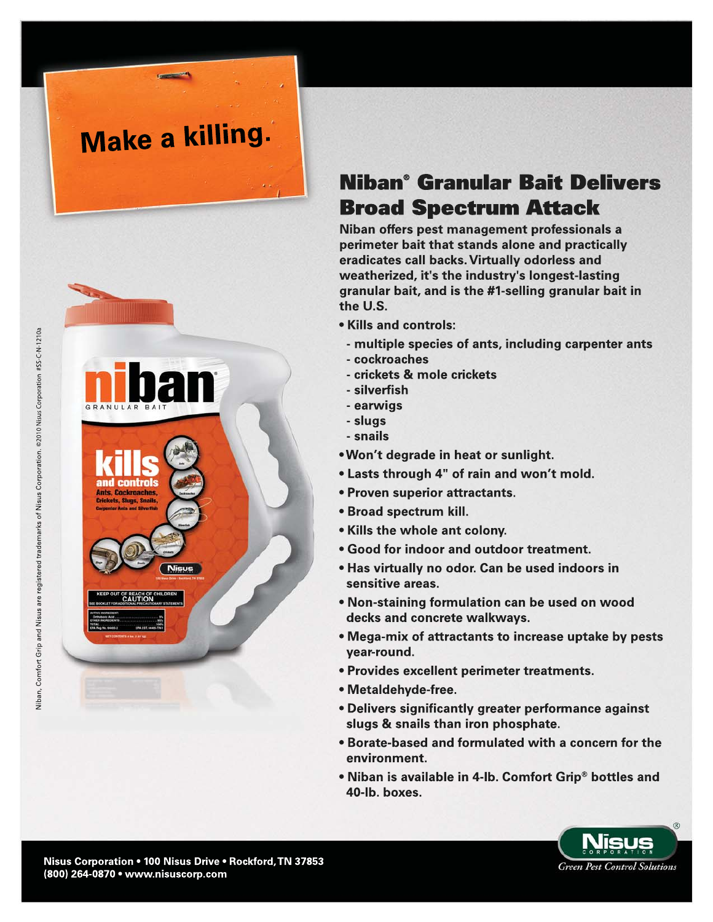# **Make a killing.**



# **Niban<sup>®</sup> Granular Bait Delivers Broad Spectrum Attack**

Niban offers pest management professionals a perimeter bait that stands alone and practically eradicates call backs. Virtually odorless and weatherized, it's the industry's longest-lasting granular bait, and is the #1-selling granular bait in the U.S.

- Kills and controls:
	- multiple species of ants, including carpenter ants
	- cockroaches
	- crickets & mole crickets
- silverfish
- earwigs
- slugs
- snails
- . Won't degrade in heat or sunlight.
- Lasts through 4" of rain and won't mold.
- Proven superior attractants.
- Broad spectrum kill.
- Kills the whole ant colony.
- Good for indoor and outdoor treatment.
- Has virtually no odor. Can be used indoors in sensitive areas.
- . Non-staining formulation can be used on wood decks and concrete walkways.
- Mega-mix of attractants to increase uptake by pests year-round.
- Provides excellent perimeter treatments.
- Metaldehyde-free.
- Delivers significantly greater performance against slugs & snails than iron phosphate.
- . Borate-based and formulated with a concern for the environment.
- . Niban is available in 4-lb. Comfort Grip® bottles and 40-lb. boxes.

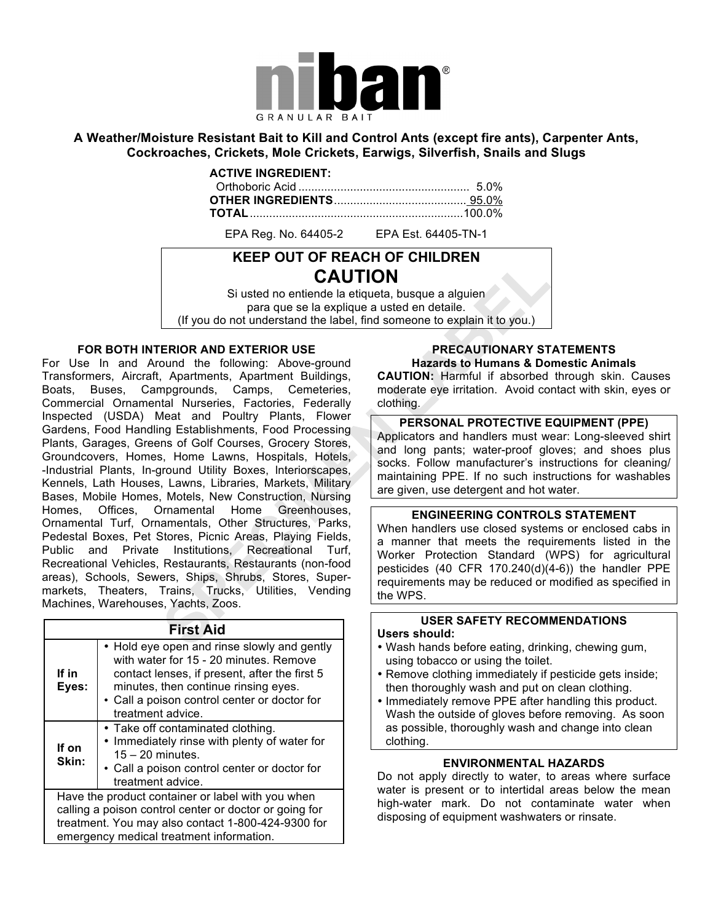

#### **A Weather/Moisture Resistant Bait to Kill and Control Ants (except fire ants), Carpenter Ants, Cockroaches, Crickets, Mole Crickets, Earwigs, Silverfish, Snails and Slugs**

#### **ACTIVE INGREDIENT:**

EPA Reg. No. 64405-2 EPA Est. 64405-TN-1

## **KEEP OUT OF REACH OF CHILDREN CAUTION**

Si usted no entiende la etiqueta, busque a alguien para que se la explique a usted en detaile. (If you do not understand the label, find someone to explain it to you.)

#### **FOR BOTH INTERIOR AND EXTERIOR USE**

For Use In and Around the following: Above-ground Transformers, Aircraft, Apartments, Apartment Buildings, Boats, Buses, Campgrounds, Camps, Cemeteries, Commercial Ornamental Nurseries, Factories, Federally Inspected (USDA) Meat and Poultry Plants, Flower Gardens, Food Handling Establishments, Food Processing Plants, Garages, Greens of Golf Courses, Grocery Stores, Groundcovers, Homes, Home Lawns, Hospitals, Hotels, -Industrial Plants, In-ground Utility Boxes, lnteriorscapes, Kennels, Lath Houses, Lawns, Libraries, Markets, Military Bases, Mobile Homes, Motels, New Construction, Nursing Homes, Offices, Ornamental Home Greenhouses, Ornamental Turf, Ornamentals, Other Structures, Parks, Pedestal Boxes, Pet Stores, Picnic Areas, Playing Fields, Public and Private Institutions, Recreational Turf, Recreational Vehicles, Restaurants, Restaurants (non-food areas), Schools, Sewers, Ships, Shrubs, Stores, Supermarkets, Theaters, Trains, Trucks, Utilities, Vending Machines, Warehouses, Yachts, Zoos.

| <b>First Aid</b> |                                                                                                                                                                                                                                                     |
|------------------|-----------------------------------------------------------------------------------------------------------------------------------------------------------------------------------------------------------------------------------------------------|
| If in<br>Eyes:   | • Hold eye open and rinse slowly and gently<br>with water for 15 - 20 minutes. Remove<br>contact lenses, if present, after the first 5<br>minutes, then continue rinsing eyes.<br>• Call a poison control center or doctor for<br>treatment advice. |
| If on<br>Skin:   | • Take off contaminated clothing.<br>• Immediately rinse with plenty of water for<br>$15 - 20$ minutes.<br>• Call a poison control center or doctor for<br>treatment advice.                                                                        |
|                  | Have the product container or label with you when<br>calling a poison control center or doctor or going for<br>treatment. You may also contact 1-800-424-9300 for<br>emergency medical treatment information.                                       |

#### **PRECAUTIONARY STATEMENTS Hazards to Humans & Domestic Animals**

**CAUTION:** Harmful if absorbed through skin. Causes moderate eye irritation. Avoid contact with skin, eyes or clothing.

#### **PERSONAL PROTECTIVE EQUIPMENT (PPE)**

Applicators and handlers must wear: Long-sleeved shirt and long pants; water-proof gloves; and shoes plus socks. Follow manufacturer's instructions for cleaning/ maintaining PPE. If no such instructions for washables are given, use detergent and hot water.

#### **ENGINEERING CONTROLS STATEMENT**

When handlers use closed systems or enclosed cabs in a manner that meets the requirements listed in the Worker Protection Standard (WPS) for agricultural pesticides (40 CFR 170.240(d)(4-6)) the handler PPE requirements may be reduced or modified as specified in the WPS.

### **USER SAFETY RECOMMENDATIONS**

#### **Users should:**

- Wash hands before eating, drinking, chewing gum, using tobacco or using the toilet.
- Remove clothing immediately if pesticide gets inside; then thoroughly wash and put on clean clothing.
- Immediately remove PPE after handling this product. Wash the outside of gloves before removing. As soon as possible, thoroughly wash and change into clean clothing.

#### **ENVIRONMENTAL HAZARDS**

Do not apply directly to water, to areas where surface water is present or to intertidal areas below the mean high-water mark. Do not contaminate water when disposing of equipment washwaters or rinsate.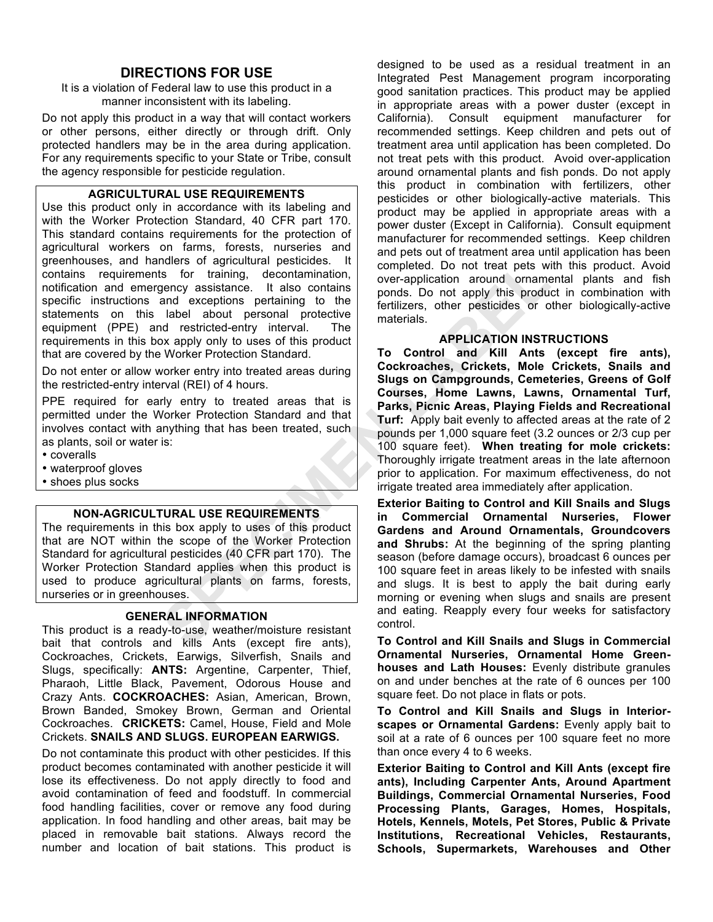#### **DIRECTIONS FOR USE**

It is a violation of Federal law to use this product in a manner inconsistent with its labeling.

Do not apply this product in a way that will contact workers or other persons, either directly or through drift. Only protected handlers may be in the area during application. For any requirements specific to your State or Tribe, consult the agency responsible for pesticide regulation.

#### **AGRICULTURAL USE REQUIREMENTS**

Use this product only in accordance with its labeling and with the Worker Protection Standard, 40 CFR part 170. This standard contains requirements for the protection of agricultural workers on farms, forests, nurseries and greenhouses, and handlers of agricultural pesticides. It contains requirements for training, decontamination, notification and emergency assistance. It also contains specific instructions and exceptions pertaining to the statements on this label about personal protective equipment (PPE) and restricted-entry interval. The requirements in this box apply only to uses of this product that are covered by the Worker Protection Standard.

Do not enter or allow worker entry into treated areas during the restricted-entry interval (REI) of 4 hours.

PPE required for early entry to treated areas that is permitted under the Worker Protection Standard and that involves contact with anything that has been treated, such as plants, soil or water is:

- coveralls
- waterproof gloves
- shoes plus socks

#### **NON-AGRICULTURAL USE REQUIREMENTS**

The requirements in this box apply to uses of this product that are NOT within the scope of the Worker Protection Standard for agricultural pesticides (40 CFR part 170). The Worker Protection Standard applies when this product is used to produce agricultural plants on farms, forests, nurseries or in greenhouses.

#### **GENERAL INFORMATION**

This product is a ready-to-use, weather/moisture resistant bait that controls and kills Ants (except fire ants), Cockroaches, Crickets, Earwigs, Silverfish, Snails and Slugs, specifically: **ANTS:** Argentine, Carpenter, Thief, Pharaoh, Little Black, Pavement, Odorous House and Crazy Ants. **COCKROACHES:** Asian, American, Brown, Brown Banded, Smokey Brown, German and Oriental Cockroaches. **CRICKETS:** Camel, House, Field and Mole Crickets. **SNAILS AND SLUGS. EUROPEAN EARWIGS.**

Do not contaminate this product with other pesticides. If this product becomes contaminated with another pesticide it will lose its effectiveness. Do not apply directly to food and avoid contamination of feed and foodstuff. In commercial food handling facilities, cover or remove any food during application. In food handling and other areas, bait may be placed in removable bait stations. Always record the number and location of bait stations. This product is designed to be used as a residual treatment in an Integrated Pest Management program incorporating good sanitation practices. This product may be applied in appropriate areas with a power duster (except in California). Consult equipment manufacturer for recommended settings. Keep children and pets out of treatment area until application has been completed. Do not treat pets with this product. Avoid over-application around ornamental plants and fish ponds. Do not apply this product in combination with fertilizers, other pesticides or other biologically-active materials. This product may be applied in appropriate areas with a power duster (Except in California). Consult equipment manufacturer for recommended settings. Keep children and pets out of treatment area until application has been completed. Do not treat pets with this product. Avoid over-application around ornamental plants and fish ponds. Do not apply this product in combination with fertilizers, other pesticides or other biologically-active materials.

#### **APPLICATION INSTRUCTIONS**

**To Control and Kill Ants (except fire ants), Cockroaches, Crickets, Mole Crickets, Snails and Slugs on Campgrounds, Cemeteries, Greens of Golf Courses, Home Lawns, Lawns, Ornamental Turf, Parks, Picnic Areas, Playing Fields and Recreational Turf:** Apply bait evenly to affected areas at the rate of 2 pounds per 1,000 square feet (3.2 ounces or 2/3 cup per 100 square feet). **When treating for mole crickets:**  Thoroughly irrigate treatment areas in the late afternoon prior to application. For maximum effectiveness, do not irrigate treated area immediately after application.

**Exterior Baiting to Control and Kill Snails and Slugs in Commercial Ornamental Nurseries, Flower Gardens and Around Ornamentals, Groundcovers and Shrubs:** At the beginning of the spring planting season (before damage occurs), broadcast 6 ounces per 100 square feet in areas likely to be infested with snails and slugs. It is best to apply the bait during early morning or evening when slugs and snails are present and eating. Reapply every four weeks for satisfactory control.

**To Control and Kill Snails and Slugs in Commercial Ornamental Nurseries, Ornamental Home Greenhouses and Lath Houses:** Evenly distribute granules on and under benches at the rate of 6 ounces per 100 square feet. Do not place in flats or pots.

**To Control and Kill Snails and Slugs in Interiorscapes or Ornamental Gardens:** Evenly apply bait to soil at a rate of 6 ounces per 100 square feet no more than once every 4 to 6 weeks.

**Exterior Baiting to Control and Kill Ants (except fire ants), Including Carpenter Ants, Around Apartment Buildings, Commercial Ornamental Nurseries, Food Processing Plants, Garages, Homes, Hospitals, Hotels, Kennels, Motels, Pet Stores, Public & Private Institutions, Recreational Vehicles, Restaurants, Schools, Supermarkets, Warehouses and Other**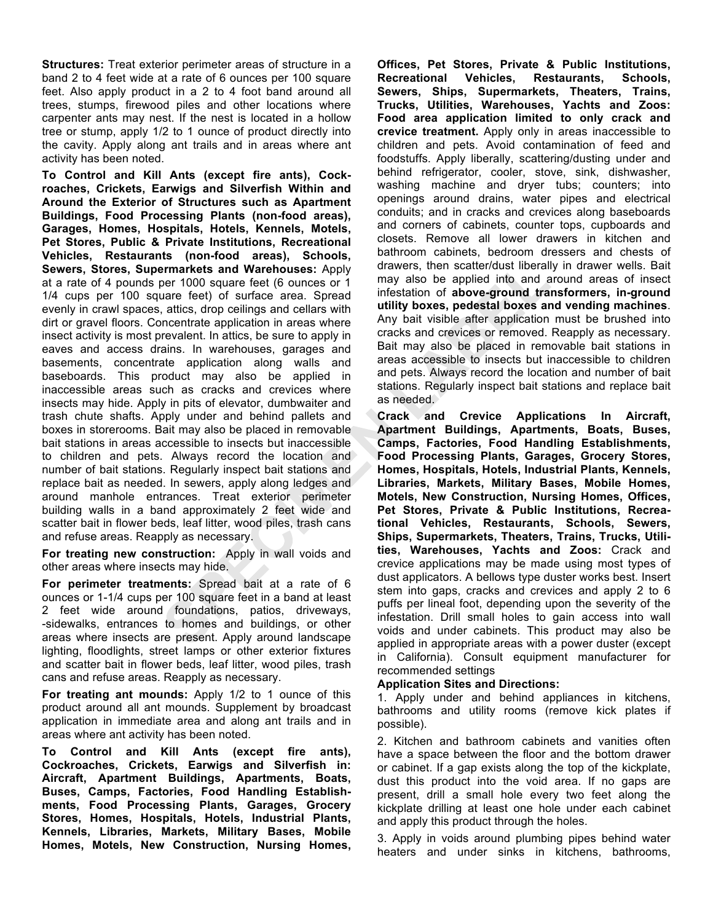**Structures:** Treat exterior perimeter areas of structure in a band 2 to 4 feet wide at a rate of 6 ounces per 100 square feet. Also apply product in a 2 to 4 foot band around all trees, stumps, firewood piles and other locations where carpenter ants may nest. If the nest is located in a hollow tree or stump, apply 1/2 to 1 ounce of product directly into the cavity. Apply along ant trails and in areas where ant activity has been noted.

**To Control and Kill Ants (except fire ants), Cockroaches, Crickets, Earwigs and Silverfish Within and Around the Exterior of Structures such as Apartment Buildings, Food Processing Plants (non-food areas), Garages, Homes, Hospitals, Hotels, Kennels, Motels, Pet Stores, Public & Private Institutions, Recreational Vehicles, Restaurants (non-food areas), Schools, Sewers, Stores, Supermarkets and Warehouses:** Apply at a rate of 4 pounds per 1000 square feet (6 ounces or 1 1/4 cups per 100 square feet) of surface area. Spread evenly in crawl spaces, attics, drop ceilings and cellars with dirt or gravel floors. Concentrate application in areas where insect activity is most prevalent. In attics, be sure to apply in eaves and access drains. In warehouses, garages and basements, concentrate application along walls and baseboards. This product may also be applied in inaccessible areas such as cracks and crevices where insects may hide. Apply in pits of elevator, dumbwaiter and trash chute shafts. Apply under and behind pallets and boxes in storerooms. Bait may also be placed in removable bait stations in areas accessible to insects but inaccessible to children and pets. Always record the location and number of bait stations. Regularly inspect bait stations and replace bait as needed. In sewers, apply along ledges and around manhole entrances. Treat exterior perimeter building walls in a band approximately 2 feet wide and scatter bait in flower beds, leaf litter, wood piles, trash cans and refuse areas. Reapply as necessary.

**For treating new construction:** Apply in wall voids and other areas where insects may hide.

**For perimeter treatments:** Spread bait at a rate of 6 ounces or 1-1/4 cups per 100 square feet in a band at least 2 feet wide around foundations, patios, driveways, -sidewalks, entrances to homes and buildings, or other areas where insects are present. Apply around landscape lighting, floodlights, street lamps or other exterior fixtures and scatter bait in flower beds, leaf litter, wood piles, trash cans and refuse areas. Reapply as necessary.

**For treating ant mounds:** Apply 1/2 to 1 ounce of this product around all ant mounds. Supplement by broadcast application in immediate area and along ant trails and in areas where ant activity has been noted.

**To Control and Kill Ants (except fire ants), Cockroaches, Crickets, Earwigs and Silverfish in: Aircraft, Apartment Buildings, Apartments, Boats, Buses, Camps, Factories, Food Handling Establishments, Food Processing Plants, Garages, Grocery Stores, Homes, Hospitals, Hotels, Industrial Plants, Kennels, Libraries, Markets, Military Bases, Mobile Homes, Motels, New Construction, Nursing Homes,**  **Offices, Pet Stores, Private & Public Institutions, Recreational Vehicles, Restaurants, Schools, Sewers, Ships, Supermarkets, Theaters, Trains, Trucks, Utilities, Warehouses, Yachts and Zoos: Food area application limited to only crack and crevice treatment.** Apply only in areas inaccessible to children and pets. Avoid contamination of feed and foodstuffs. Apply liberally, scattering/dusting under and behind refrigerator, cooler, stove, sink, dishwasher, washing machine and dryer tubs; counters; into openings around drains, water pipes and electrical conduits; and in cracks and crevices along baseboards and corners of cabinets, counter tops, cupboards and closets. Remove all lower drawers in kitchen and bathroom cabinets, bedroom dressers and chests of drawers, then scatter/dust liberally in drawer wells. Bait may also be applied into and around areas of insect infestation of **above-ground transformers, in-ground utility boxes, pedestal boxes and vending machines**. Any bait visible after application must be brushed into cracks and crevices or removed. Reapply as necessary. Bait may also be placed in removable bait stations in areas accessible to insects but inaccessible to children and pets. Always record the location and number of bait stations. Regularly inspect bait stations and replace bait as needed.

**Crack and Crevice Applications In Aircraft, Apartment Buildings, Apartments, Boats, Buses, Camps, Factories, Food Handling Establishments, Food Processing Plants, Garages, Grocery Stores, Homes, Hospitals, Hotels, Industrial Plants, Kennels, Libraries, Markets, Military Bases, Mobile Homes, Motels, New Construction, Nursing Homes, Offices, Pet Stores, Private & Public Institutions, Recreational Vehicles, Restaurants, Schools, Sewers, Ships, Supermarkets, Theaters, Trains, Trucks, Utilities, Warehouses, Yachts and Zoos:** Crack and crevice applications may be made using most types of dust applicators. A bellows type duster works best. Insert stem into gaps, cracks and crevices and apply 2 to 6 puffs per lineal foot, depending upon the severity of the infestation. Drill small holes to gain access into wall voids and under cabinets. This product may also be applied in appropriate areas with a power duster (except in California). Consult equipment manufacturer for recommended settings

#### **Application Sites and Directions:**

1. Apply under and behind appliances in kitchens, bathrooms and utility rooms (remove kick plates if possible).

2. Kitchen and bathroom cabinets and vanities often have a space between the floor and the bottom drawer or cabinet. If a gap exists along the top of the kickplate, dust this product into the void area. If no gaps are present, drill a small hole every two feet along the kickplate drilling at least one hole under each cabinet and apply this product through the holes.

3. Apply in voids around plumbing pipes behind water heaters and under sinks in kitchens, bathrooms,